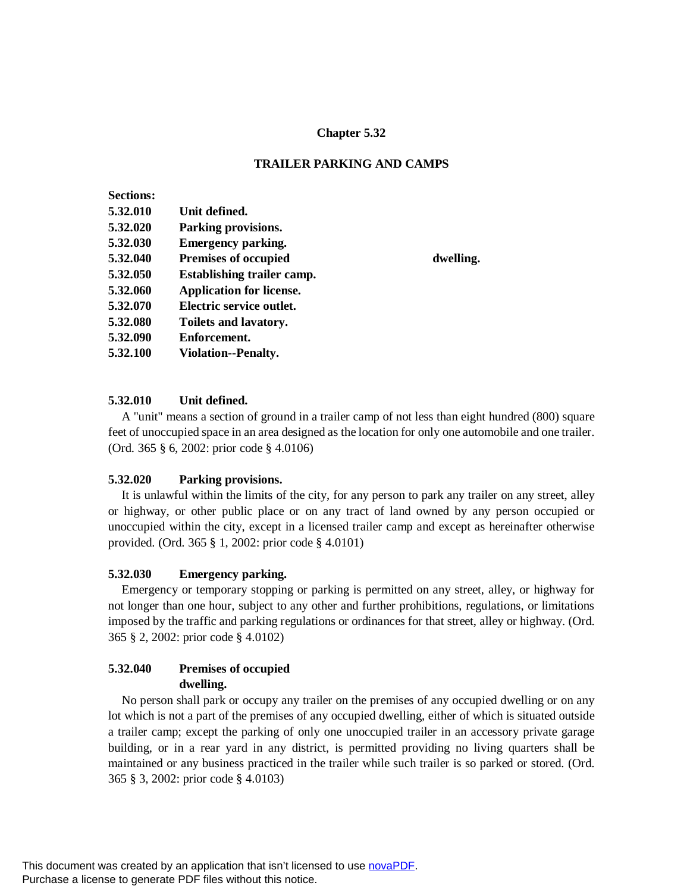## **Chapter 5.32**

## **TRAILER PARKING AND CAMPS**

dwelling.

| <b>Sections:</b> |                                   |
|------------------|-----------------------------------|
| 5.32.010         | Unit defined.                     |
| 5.32.020         | Parking provisions.               |
| 5.32.030         | <b>Emergency parking.</b>         |
| 5.32.040         | <b>Premises of occupied</b>       |
| 5.32.050         | <b>Establishing trailer camp.</b> |
| 5.32.060         | <b>Application for license.</b>   |
| 5.32.070         | Electric service outlet.          |
| 5.32.080         | <b>Toilets and lavatory.</b>      |
| 5.32.090         | Enforcement.                      |
| 5.32.100         | Violation--Penalty.               |

#### **5.32.010 Unit defined.**

A "unit" means a section of ground in a trailer camp of not less than eight hundred (800) square feet of unoccupied space in an area designed as the location for only one automobile and one trailer. (Ord. 365 § 6, 2002: prior code § 4.0106)

#### **5.32.020 Parking provisions.**

It is unlawful within the limits of the city, for any person to park any trailer on any street, alley or highway, or other public place or on any tract of land owned by any person occupied or unoccupied within the city, except in a licensed trailer camp and except as hereinafter otherwise provided. (Ord. 365 § 1, 2002: prior code § 4.0101)

#### **5.32.030 Emergency parking.**

Emergency or temporary stopping or parking is permitted on any street, alley, or highway for not longer than one hour, subject to any other and further prohibitions, regulations, or limitations imposed by the traffic and parking regulations or ordinances for that street, alley or highway. (Ord. 365 § 2, 2002: prior code § 4.0102)

## **5.32.040 Premises of occupied dwelling.**

No person shall park or occupy any trailer on the premises of any occupied dwelling or on any lot which is not a part of the premises of any occupied dwelling, either of which is situated outside a trailer camp; except the parking of only one unoccupied trailer in an accessory private garage building, or in a rear yard in any district, is permitted providing no living quarters shall be maintained or any business practiced in the trailer while such trailer is so parked or stored. (Ord. 365 § 3, 2002: prior code § 4.0103)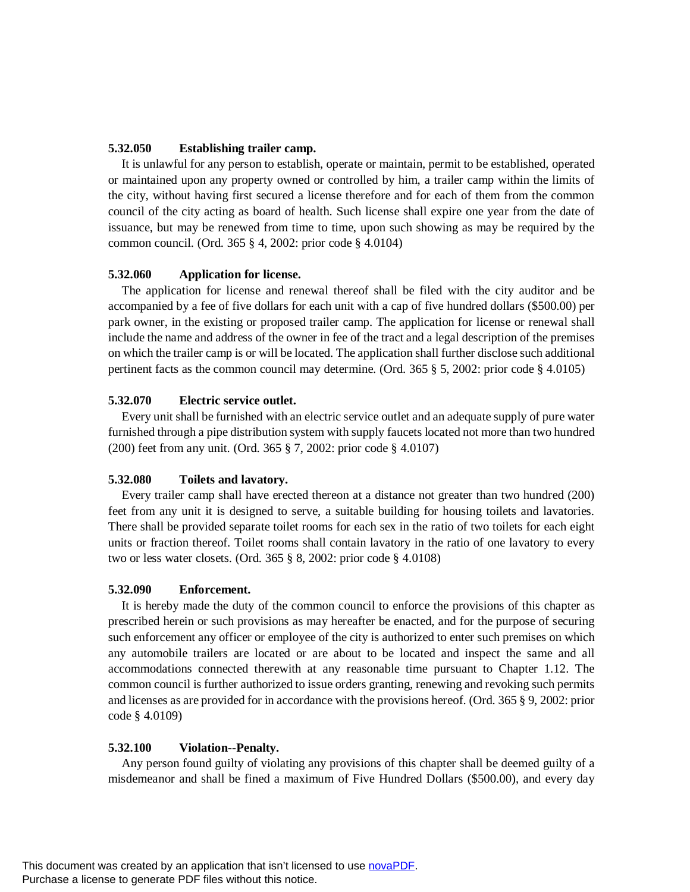# **5.32.050 Establishing trailer camp.**

It is unlawful for any person to establish, operate or maintain, permit to be established, operated or maintained upon any property owned or controlled by him, a trailer camp within the limits of the city, without having first secured a license therefore and for each of them from the common council of the city acting as board of health. Such license shall expire one year from the date of issuance, but may be renewed from time to time, upon such showing as may be required by the common council. (Ord. 365 § 4, 2002: prior code § 4.0104)

## **5.32.060 Application for license.**

The application for license and renewal thereof shall be filed with the city auditor and be accompanied by a fee of five dollars for each unit with a cap of five hundred dollars (\$500.00) per park owner, in the existing or proposed trailer camp. The application for license or renewal shall include the name and address of the owner in fee of the tract and a legal description of the premises on which the trailer camp is or will be located. The application shall further disclose such additional pertinent facts as the common council may determine. (Ord. 365 § 5, 2002: prior code § 4.0105)

## **5.32.070 Electric service outlet.**

Every unit shall be furnished with an electric service outlet and an adequate supply of pure water furnished through a pipe distribution system with supply faucets located not more than two hundred (200) feet from any unit. (Ord. 365 § 7, 2002: prior code § 4.0107)

## **5.32.080 Toilets and lavatory.**

Every trailer camp shall have erected thereon at a distance not greater than two hundred (200) feet from any unit it is designed to serve, a suitable building for housing toilets and lavatories. There shall be provided separate toilet rooms for each sex in the ratio of two toilets for each eight units or fraction thereof. Toilet rooms shall contain lavatory in the ratio of one lavatory to every two or less water closets. (Ord. 365 § 8, 2002: prior code § 4.0108)

## **5.32.090 Enforcement.**

It is hereby made the duty of the common council to enforce the provisions of this chapter as prescribed herein or such provisions as may hereafter be enacted, and for the purpose of securing such enforcement any officer or employee of the city is authorized to enter such premises on which any automobile trailers are located or are about to be located and inspect the same and all accommodations connected therewith at any reasonable time pursuant to Chapter 1.12. The common council is further authorized to issue orders granting, renewing and revoking such permits and licenses as are provided for in accordance with the provisions hereof. (Ord. 365 § 9, 2002: prior code § 4.0109)

## **5.32.100 Violation--Penalty.**

Any person found guilty of violating any provisions of this chapter shall be deemed guilty of a misdemeanor and shall be fined a maximum of Five Hundred Dollars (\$500.00), and every day